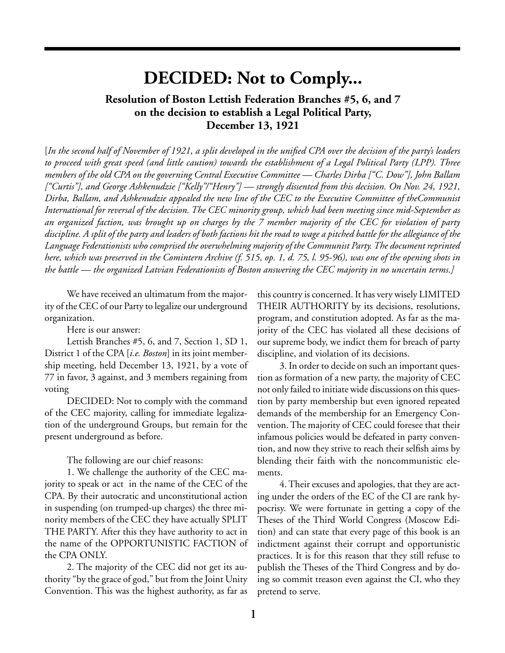## **DECIDED: Not to Comply...**

## **Resolution of Boston Lettish Federation Branches #5, 6, and 7 on the decision to establish a Legal Political Party, December 13, 1921**

[*In the second half of November of 1921, a split developed in the unified CPA over the decision of the party's leaders to proceed with great speed (and little caution) towards the establishment of a Legal Political Party (LPP). Three members of the old CPA on the governing Central Executive Committee — Charles Dirba ["C. Dow"], John Ballam ["Curtis"], and George Ashkenudzie ["Kelly"/"Henry"] — strongly dissented from this decision. On Nov. 24, 1921, Dirba, Ballam, and Ashkenudzie appealed the new line of the CEC to the Executive Committee of theCommunist International for reversal of the decision. The CEC minority group, which had been meeting since mid-September as an organized faction, was brought up on charges by the 7 member majority of the CEC for violation of party discipline. A split of the party and leaders of both factions hit the road to wage a pitched battle for the allegiance of the Language Federationists who comprised the overwhelming majority of the Communist Party. The document reprinted here, which was preserved in the Comintern Archive (f. 515, op. 1, d. 75, l. 95-96), was one of the opening shots in the battle — the organized Latvian Federationists of Boston answering the CEC majority in no uncertain terms.]*

We have received an ultimatum from the majority of the CEC of our Party to legalize our underground organization.

Here is our answer:

Lettish Branches #5, 6, and 7, Section 1, SD 1, District 1 of the CPA [*i.e. Boston*] in its joint membership meeting, held December 13, 1921, by a vote of 77 in favor, 3 against, and 3 members regaining from voting

DECIDED: Not to comply with the command of the CEC majority, calling for immediate legalization of the underground Groups, but remain for the present underground as before.

The following are our chief reasons:

1. We challenge the authority of the CEC majority to speak or act in the name of the CEC of the CPA. By their autocratic and unconstitutional action in suspending (on trumped-up charges) the three minority members of the CEC they have actually SPLIT THE PARTY. After this they have authority to act in the name of the OPPORTUNISTIC FACTION of the CPA ONLY.

2. The majority of the CEC did not get its authority "by the grace of god," but from the Joint Unity Convention. This was the highest authority, as far as

this country is concerned. It has very wisely LIMITED THEIR AUTHORITY by its decisions, resolutions, program, and constitution adopted. As far as the majority of the CEC has violated all these decisions of our supreme body, we indict them for breach of party discipline, and violation of its decisions.

3. In order to decide on such an important question as formation of a new party, the majority of CEC not only failed to initiate wide discussions on this question by party membership but even ignored repeated demands of the membership for an Emergency Convention. The majority of CEC could foresee that their infamous policies would be defeated in party convention, and now they strive to reach their selfish aims by blending their faith with the noncommunistic elements.

4. Their excuses and apologies, that they are acting under the orders of the EC of the CI are rank hypocrisy. We were fortunate in getting a copy of the Theses of the Third World Congress (Moscow Edition) and can state that every page of this book is an indictment against their corrupt and opportunistic practices. It is for this reason that they still refuse to publish the Theses of the Third Congress and by doing so commit treason even against the CI, who they pretend to serve.